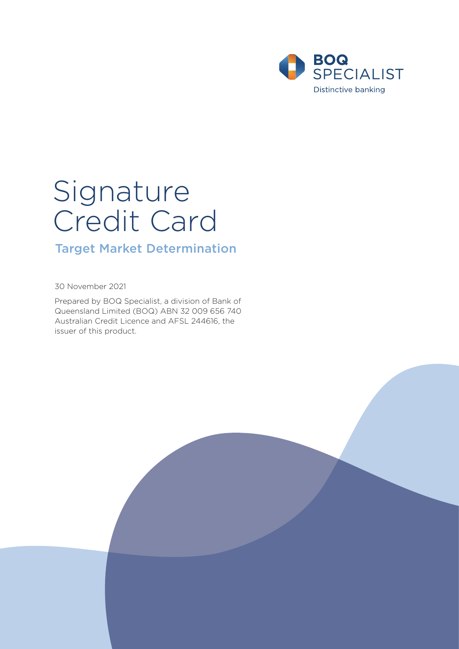

# Signature Credit Card

# Target Market Determination

30 November 2021

Prepared by BOQ Specialist, a division of Bank of Queensland Limited (BOQ) ABN 32 009 656 740 Australian Credit Licence and AFSL 244616, the issuer of this product.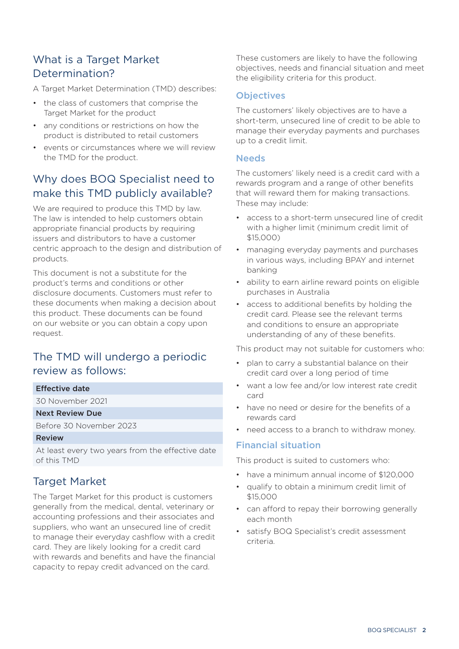# What is a Target Market Determination?

A Target Market Determination (TMD) describes:

- the class of customers that comprise the Target Market for the product
- any conditions or restrictions on how the product is distributed to retail customers
- events or circumstances where we will review the TMD for the product.

# Why does BOQ Specialist need to make this TMD publicly available?

We are required to produce this TMD by law. The law is intended to help customers obtain appropriate financial products by requiring issuers and distributors to have a customer centric approach to the design and distribution of products.

This document is not a substitute for the product's terms and conditions or other disclosure documents. Customers must refer to these documents when making a decision about this product. These documents can be found on our website or you can obtain a copy upon request.

# The TMD will undergo a periodic review as follows:

#### Effective date

30 November 2021

#### Next Review Due

Before 30 November 2023

#### Review

At least every two years from the effective date of this TMD

## Target Market

The Target Market for this product is customers generally from the medical, dental, veterinary or accounting professions and their associates and suppliers, who want an unsecured line of credit to manage their everyday cashflow with a credit card. They are likely looking for a credit card with rewards and benefits and have the financial capacity to repay credit advanced on the card.

These customers are likely to have the following objectives, needs and financial situation and meet the eligibility criteria for this product.

#### **Objectives**

The customers' likely objectives are to have a short-term, unsecured line of credit to be able to manage their everyday payments and purchases up to a credit limit.

#### **Needs**

The customers' likely need is a credit card with a rewards program and a range of other benefits that will reward them for making transactions. These may include:

- access to a short-term unsecured line of credit with a higher limit (minimum credit limit of \$15,000)
- managing everyday payments and purchases in various ways, including BPAY and internet banking
- ability to earn airline reward points on eligible purchases in Australia
- access to additional benefits by holding the credit card. Please see the relevant terms and conditions to ensure an appropriate understanding of any of these benefits.

This product may not suitable for customers who:

- plan to carry a substantial balance on their credit card over a long period of time
- want a low fee and/or low interest rate credit card
- have no need or desire for the benefits of a rewards card
- need access to a branch to withdraw money.

#### Financial situation

This product is suited to customers who:

- have a minimum annual income of \$120,000
- qualify to obtain a minimum credit limit of \$15,000
- can afford to repay their borrowing generally each month
- satisfy BOQ Specialist's credit assessment criteria.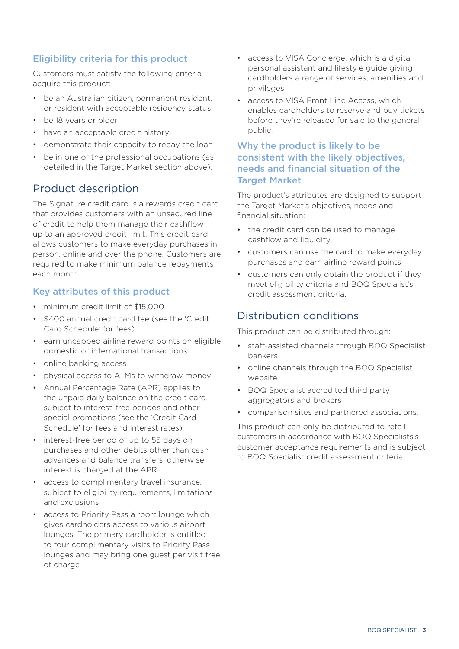## Eligibility criteria for this product

Customers must satisfy the following criteria acquire this product:

- be an Australian citizen, permanent resident, or resident with acceptable residency status
- be 18 years or older
- have an acceptable credit history
- demonstrate their capacity to repay the loan
- be in one of the professional occupations (as detailed in the Target Market section above).

## Product description

The Signature credit card is a rewards credit card that provides customers with an unsecured line of credit to help them manage their cashflow up to an approved credit limit. This credit card allows customers to make everyday purchases in person, online and over the phone. Customers are required to make minimum balance repayments each month.

## Key attributes of this product

- minimum credit limit of \$15,000
- \$400 annual credit card fee (see the 'Credit Card Schedule' for fees)
- earn uncapped airline reward points on eligible domestic or international transactions
- online banking access
- physical access to ATMs to withdraw money
- Annual Percentage Rate (APR) applies to the unpaid daily balance on the credit card, subject to interest-free periods and other special promotions (see the 'Credit Card Schedule' for fees and interest rates)
- interest-free period of up to 55 days on purchases and other debits other than cash advances and balance transfers, otherwise interest is charged at the APR
- access to complimentary travel insurance, subject to eligibility requirements, limitations and exclusions
- access to Priority Pass airport lounge which gives cardholders access to various airport lounges. The primary cardholder is entitled to four complimentary visits to Priority Pass lounges and may bring one guest per visit free of charge
- access to VISA Concierge, which is a digital personal assistant and lifestyle guide giving cardholders a range of services, amenities and privileges
- access to VISA Front Line Access, which enables cardholders to reserve and buy tickets before they're released for sale to the general public.

### Why the product is likely to be consistent with the likely objectives, needs and financial situation of the **Target Market**

The product's attributes are designed to support the Target Market's objectives, needs and financial situation:

- the credit card can be used to manage cashflow and liquidity
- customers can use the card to make everyday purchases and earn airline reward points
- customers can only obtain the product if they meet eligibility criteria and BOQ Specialist's credit assessment criteria.

## Distribution conditions

This product can be distributed through:

- staff-assisted channels through BOQ Specialist bankers
- online channels through the BOQ Specialist website
- BOQ Specialist accredited third party aggregators and brokers
- comparison sites and partnered associations.

This product can only be distributed to retail customers in accordance with BOQ Specialists's customer acceptance requirements and is subject to BOQ Specialist credit assessment criteria.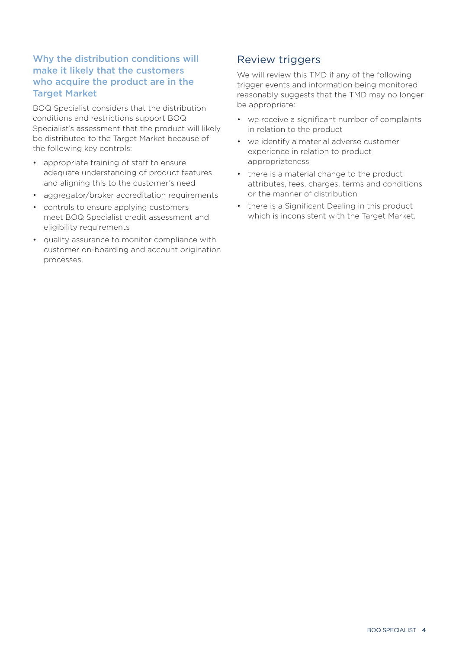## Why the distribution conditions will make it likely that the customers who acquire the product are in the Target Market

BOQ Specialist considers that the distribution conditions and restrictions support BOQ Specialist's assessment that the product will likely be distributed to the Target Market because of the following key controls:

- appropriate training of staff to ensure adequate understanding of product features and aligning this to the customer's need
- aggregator/broker accreditation requirements
- controls to ensure applying customers meet BOQ Specialist credit assessment and eligibility requirements
- quality assurance to monitor compliance with customer on-boarding and account origination processes.

## Review triggers

We will review this TMD if any of the following trigger events and information being monitored reasonably suggests that the TMD may no longer be appropriate:

- we receive a significant number of complaints in relation to the product
- we identify a material adverse customer experience in relation to product appropriateness
- there is a material change to the product attributes, fees, charges, terms and conditions or the manner of distribution
- there is a Significant Dealing in this product which is inconsistent with the Target Market.